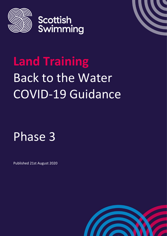



# **Land Training** Back to the Water COVID-19 Guidance

Phase 3

Published 21st August 2020

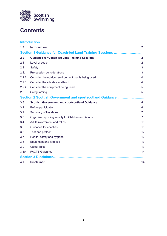

## **Contents**

|                                                          | Introduction                                          |                   |
|----------------------------------------------------------|-------------------------------------------------------|-------------------|
| 1.0                                                      | <b>Introduction</b>                                   | $\mathbf{2}$      |
| Section 1 Guidance for Coach-led Land Training Sessions  |                                                       |                   |
| 2.0                                                      | <b>Guidance for Coach-led Land Training Sessions</b>  | $\mathbf{2}$      |
| 2.1                                                      | Level of coach                                        | $\overline{2}$    |
| 2.2                                                      | Safety                                                | 3                 |
| 2.2.1                                                    | Pre-session considerations                            | 3                 |
| 2.2.2                                                    | Consider the outdoor environment that is being used   | 4                 |
| 2.2.3                                                    | Consider the athletes to attend                       | 4                 |
| 2.2.4                                                    | Consider the equipment being used                     | 5                 |
| 2.3                                                      | Safeguarding                                          | 5                 |
| Section 2 Scottish Government and sportscotland Guidance |                                                       |                   |
| 3.0                                                      | <b>Scottish Government and sportscotland Guidance</b> | 6                 |
| 3.1                                                      | Before participating                                  | 6                 |
| 3.2                                                      | Summary of key dates                                  | 7                 |
| 3.3                                                      | Organised sporting activity for Children and Adults   | 7                 |
| 3.4                                                      | Adult involvement and ratios                          | 10                |
| 3.5                                                      | Guidance for coaches                                  | 10                |
| 3.6                                                      | Test and protect                                      | $12 \overline{ }$ |
| 3.7                                                      | Health, safety and hygiene                            | 12                |
| 3.8                                                      | <b>Equipment and facilities</b>                       | 13                |
| 3.9                                                      | <b>Useful links</b>                                   | 13                |
| 3.10                                                     | <b>FACTS Guidance</b>                                 | 14                |
| <b>Section 3 Disclaimer.</b>                             |                                                       |                   |
| 4.0                                                      | <b>Disclaimer</b>                                     | 14                |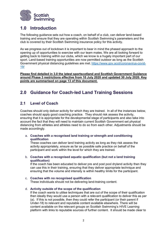

## **1.0 Introduction**

The following guidance sets out how a coach, on behalf of a club, can deliver land-based training and ensure that they are operating within Scottish Swimming's parameters and the club is covered by their Scottish Swimming insurance policy for this activity.

As we progress out of lockdown it is important to bear in mind the phased approach to the opening up of opportunities to exercise with our team mates. We are all looking forward to getting back to training within our clubs, which we know is a hugely important part of our sport. Land-based training opportunities are now permitted outdoor as long as the Scottish Government physical distancing guidelines are met. [https://www.gov.scot/coronavirus-covid-](https://www.gov.scot/coronavirus-covid-19/)[19/](https://www.gov.scot/coronavirus-covid-19/)

**Please find detailed in 3.0 the latest sportscotland and Scottish Government Guidance around Phase 3 restrictions effective from 10 July 2020 and updated 30 July 2020. Key points are summarised on page 13 of this document.**

## **2.0 Guidance for Coach-led Land Training Sessions**

## **2.1 Level of Coach**

Coaches should only deliver activity for which they are trained. In all of the instances below, coaches should apply good coaching practice. They should risk assess the activity, ensuring that it is appropriate for the developmental stage of participants and also take into account the fact that they will need to maintain current Scottish Government set physical distancing from athletes and athletes need to do so from each other. Adjustments should be made accordingly.

a. **Coaches with a recognised land training or strength and conditioning qualification** 

These coaches can deliver land training activity as long as they risk assess the activity appropriately, ensure as far as possible safe practice on behalf of the participant and work within the level for which they are trained.

b. **Coaches with a recognised aquatic qualification (but not a land training qualification)**

If the coach has been educated to deliver pre and post pool dryland activity then they can use this in their training, ensuring that they deliver appropriate technique and ensuring that the volume and intensity is within healthy limits for the participant.

- c. **Coaches with no recognised qualification** These individuals should not be delivering land-training content.
- d. **Activity outside of the scope of the qualification**

If the coach wants to utilise techniques that are out of the scope of their qualification then ideally they would use a person with a relevant qualification to deliver this as per (a). If this is not possible, then they could refer the participant (or their parent if Under-18) to relevant and reputable content available elsewhere. There will be content available on the relevant groups on Scottish Swimming's HIVE Learning platform with links to reputable sources of further content. It should be made clear to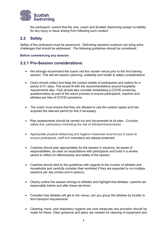

the participant / parent that the club, coach and Scottish Swimming accept no liability for any injury or issue arising from following such content.

## **2.2 Safety**

Safety of the participant must be paramount. Delivering sessions outdoors can bring extra challenges that should be addressed. The following guidelines should be considered.

#### **Before commencing any session:**

#### **2.2.1 Pre-Session considerations:**

- We strongly recommend the coach visit the chosen venue prior to the first training session. This will aid session planning, suitability and health & safety considerations.
- Clubs should collect and keep the contact details of participants and visitors for a period of 21 days. This would fit with the recommendations around hospitality requirements also. Club should also consider embedding a COVID screening questionnaires as part of the return process to ensure participants, coaches and athletes are free of COVID symptoms.
- The coach must ensure that they are allowed to use the outdoor space and has acquired the relevant permit for this if necessary.
- Risk assessments should be carried out and documented at all sites. Consider safety first, particularly minimising the risk of infection/transmission.
- Appropriate physical distancing and hygiene measures must be put in place to ensure participants, staff and volunteers are always protected.
- Coaches should plan appropriately for the session in advance, be aware of responsibilities, be clear on expectations with participants and build in a review period to reflect on effectiveness and safety of the session.
- Coaches should stick to the guidelines with regards to the number of athletes and households and carefully consider their workload if they are expected to run multiple sessions per day (online and in person).
- Clearly outline the session timings to athletes and highlight that athletes / parents are responsible before and after these set times.
- Consider how athletes will get to the venue, can you group the athletes by locality to limit transport requirements.
- Cleaning, hand, and respiratory hygiene are core measures and provision should be made for these. Clear guidance and plans are needed for cleaning of equipment and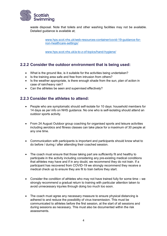

waste disposal. Note that toilets and other washing facilities may not be available. Detailed guidance is available at;

> [www.hps.scot.nhs.uk/web-resources-container/covid-19-guidance-for](http://www.hps.scot.nhs.uk/web-resources-container/covid-19-guidance-for-non-healthcare-settings/)[non-healthcare-settings/](http://www.hps.scot.nhs.uk/web-resources-container/covid-19-guidance-for-non-healthcare-settings/)

[www.hps.scot.nhs.uk/a-to-z-of-topics/hand-hygiene/](http://www.hps.scot.nhs.uk/a-to-z-of-topics/hand-hygiene/)

## **2.2.2 Consider the outdoor environment that is being used:**

- What is the ground like, is it suitable for the activities being undertaken?
- Is the training area safe and free from intrusion from others?
- Is the weather appropriate, is there enough shade from the sun, plan of action in case of rain/heavy rain?
- Can the athletes be seen and supervised effectively?

## **2.2.3 Consider the athletes to attend:**

- People who are symptomatic should self-isolate for 10 days: household members for 14 days as per info on NHS guidance. No one who is self-isolating should attend an outdoor sports activity.
- From 24 August Outdoor group coaching for organised sports and leisure activities including aerobics and fitness classes can take place for a maximum of 30 people at any one time.
- Communication with participants is important and participants should know what to do before / during / after attending their coached session.
- The coach must ensure that those taking part are sufficiently fit and healthy to participate in the activity including considering any pre-existing medical conditions that athletes may have and if in any doubt, we recommend they do not train. If a participant has recovered from COVID-19 we strongly recommend they receive a medical check up to ensure they are fit to train before they start.
- Consider the condition of athletes who may not have trained fully for some time we strongly recommend a gradual return to training with particular attention taken to avoid unnecessary injuries through doing too much too soon.
- The coach must agree any necessary measure to ensure physical distancing is adhered to and reduce the possibility of virus transmission. This must be communicated to athletes before the first session, at the start of all sessions and during sessions as necessary. This must also be documented within the risk assessments.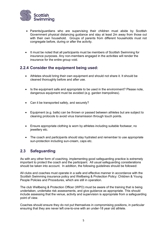

- Parents/guardians who are supervising their children must abide by Scottish Government physical distancing guidance and stay at least 2m away from those out with their own household. Groups of parents from different households must not congregate before, during or after the activity.
- It must be noted that all participants must be members of Scottish Swimming for insurance purposes. Any non-members engaged in the activities will render the insurance for the entire group void.

## **2.2.4 Consider the equipment being used:**

- Athletes should bring their own equipment and should not share it. It should be cleaned thoroughly before and after use.
- Is the equipment safe and appropriate to be used in the environment? Please note, dangerous equipment must be avoided (e.g. garden trampolines).
- Can it be transported safely, and securely?
- Equipment (e.g. balls) can be thrown or passed between athletes but are subject to cleaning protocols to avoid virus transmission through touch points.
- Ensure appropriate clothing is worn by athletes including suitable footwear, no jewellery etc.
- The coach and participants should stay hydrated and remember to use appropriate sun-protection including sun-cream, caps etc.

## **2.3 Safeguarding**

As with any other form of coaching, implementing good safeguarding practice is extremely important to protect the coach and the participant. All usual safeguarding considerations should be taken into account. In addition, the following guidelines should be followed:

All clubs and coaches must operate in a safe and effective manner in accordance with the Scottish Swimming insurance policy and Wellbeing & Protection Policy: Children & Young People Policies and Procedures, which are still in operation.

The club Wellbeing & Protection Officer (WPO) must be aware of the training that is being undertaken, undertake risk assessments, and give guidance as appropriate. This should include assessing that the venue, activity and supervision is appropriate from a safeguarding point of view.

Coaches should ensure they do not put themselves in compromising positions, in particular ensuring that they are never left one-to-one with an under-18 year old athlete.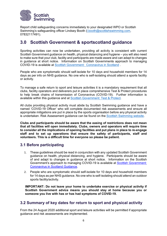

Report child safeguarding concerns immediately to your designated WPO or Scottish Swimming's safeguarding officer Lindsey Booth [\(l.booth@scottishswimming.com,](mailto:l.booth@scottishswimming.com) 07832117491).

## **3.0 Scottish Government & sportscotland guidance**

Sporting activities can now be undertaken, providing all activity is consistent with current Scottish Government guidance on health, physical distancing and hygiene – you will also need to make sure that your club, facility and participants are made aware and can adapt to changes in guidance at short notice. Information on Scottish Governments approach to managing COVID-19 is available at [Scottish Government: Coronavirus in Scotland](http://www.gov.scot/coronavirus-covid-19/) .

People who are symptomatic should self-isolate for 10 days and household members for 14 days as per info on NHS guidance. No one who is self-isolating should attend a sports facility or activity.

To manage a safe return to sport and leisure activities it is a mandatory requirement that all clubs, facility operators and deliverers put in place comprehensive Test & Protect procedures to help break chains of transmission of Coronavirus (COVID-19). Further information is available within this guidance and at [Scottish Government: Test & Protect.](http://www.gov.scot/publications/coronavirus-covid-19-test-and-protect/)

All clubs providing physical activity must abide by Scottish Swimming guidance and have a named 'COVID-19 Officer' who will complete documented risk assessments and ensure all appropriate mitigations are put in place by the sports organisation before any physical activity is undertaken. Risk Assessment guidance can be found on the [Scottish Swimming website.](https://www.scottishswimming.com/clubs/covid-19-guidance)

**Clubs and participants should be aware that the easing of restrictions does not mean that all facilities will open immediately. Clubs, owners and operators will require time to consider all the implications of opening facilities and put plans in place to re-engage staff and to set up operations that ensure the safety of participants, staff and volunteers. This is a difficult time for everyone so please be patient.**

## **3.1 Before participating**

- 1. These guidelines should be read in conjunction with any updated Scottish Government guidance on health, physical distancing, and hygiene. Participants should be aware of and adapt to changes in guidance at short notice. Information on the Scottish Government's approach to managing COVID-19 is available at **Scottish Government:** [Coronavirus in Scotland Guidance.](http://www.gov.scot/coronavirus-covid-19/)
- 2. People who are symptomatic should self-isolate for 10 days and household members for 14 days as per NHS guidance. No one who is self-isolating should attend an outdoor sports facility/activity.

**IMPORTANT: Do not leave your home to undertake exercise or physical activity if Scottish Government advice means you should stay at home because you or someone you live with has or has had symptoms of COVID-19.** 

## **3.2 Summary of key dates for return to sport and physical activity**

From the 24 August 2020 additional sport and leisure activities will be permitted if appropriate guidance and risk assessments are implemented.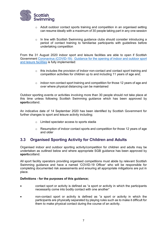

- $\circ$  Adult outdoor contact sports training and competition in an organised setting can resume ideally with a maximum of 30 people taking part in any one session
- o In line with Scottish Swimming guidance clubs should consider introducing a period of contact training to familiarise participants with guidelines before undertaking competition

From the 31 August 2020 indoor sport and leisure facilities are able to open if Scottish Government [Coronavirus \(COVID-19\): Guidance for the opening of indoor and outdoor sport](http://www.gov.scot/publications/coronavirus-covid-19-guidance-on-sport-and-leisure-facilities)  [and leisure facilities](http://www.gov.scot/publications/coronavirus-covid-19-guidance-on-sport-and-leisure-facilities) is fully implemented:

- $\circ$  this includes the provision of indoor non-contact and contact sport training and competition activities for children up to and including 11 years of age and;
- $\circ$  indoor non-contact sport training and competition for those 12 years of age and over where physical distancing can be maintained

Outdoor sporting events or activities involving more than 30 people should not take place at this time unless following Scottish Swimming guidance which has been approved by **sport**scotland.

An indicative date of 14 September 2020 has been identified by Scottish Government for further changes to sport and leisure activity including;

- o Limited spectator access to sports stadia
- $\circ$  Resumption of indoor contact sports and competition for those 12 years of age and older

## **3.3 Organised Sporting Activity for Children and Adults**

Organised indoor and outdoor sporting activity/competition for children and adults may be undertaken as outlined below and where appropriate SGB guidance has been approved by **sport**scotland.

All sport facility operators providing organised competitions must abide by relevant Scottish Swimming guidance and have a named 'COVID-19 Officer' who will be responsible for completing documented risk assessments and ensuring all appropriate mitigations are put in place.

#### **Definitions - for the purposes of this guidance;**

- contact sport or activity is defined as "a sport or activity in which the participants necessarily come into bodily contact with one another"
- non-contact sport or activity is defined as "a sport or activity in which the participants are physically separated by playing rules such as to make it difficult for them to make physical contact during the course of an activity.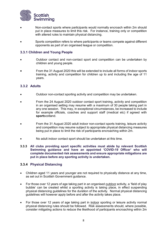

- Non-contact sports where participants would normally encroach within 2m should put in place measures to limit this risk. For instance, training only or competition with altered rules to maintain physical distancing.
- Sports competition refers to where participants or teams compete against different opponents as part of an organised league or competition.

#### **3.3.1 Children and Young People**

- Outdoor contact and non-contact sport and competition can be undertaken by children and young people.
- From the 31 August 2020 this will be extended to include all forms of indoor sports training, activity and competition for children up to and including the age of 11 years.

#### **3.3.2 Adults**

- Outdoor non-contact sporting activity and competition may be undertaken.
- From the 24 August 2020 outdoor contact sport training, activity and competition in an organised setting may resume with a maximum of 30 people taking part in any one session. This may, in exceptional circumstances, be increased to include for example officials, coaches and support staff (medical etc) if agreed with **sport**scotland.
- From the 31 August 2020 adult indoor non-contact sports training, leisure activity and competition may resume subject to appropriate physical distancing measures being put in place to limit the risk of participants encroaching within 2m.
- No adult indoor contact sport should be undertaken at this time.
- **3.3.3 All clubs providing sport specific activities must abide by relevant Scottish Swimming guidance and have an appointed 'COVID-19 Officer' who will complete documented risk assessments and ensure appropriate mitigations are put in place before any sporting activity is undertaken.**

#### **3.3.4 Physical Distancing**

- Children aged 11 years and younger are not required to physically distance at any time, as set out in Scottish Government guidance.
- For those over 12 years of age taking part in an organised outdoor activity, a 'field of play bubble' can be created whilst a sporting activity is taking place, in effect suspending physical distancing guidelines for the duration of the activity. Normal physical distancing guidelines will however apply before and after the activity takes place.
- For those over 12 years of age taking part in indoor sporting or leisure activity normal physical distancing rules should be followed. Risk assessments should, where possible, consider mitigating actions to reduce the likelihood of participants encroaching within 2m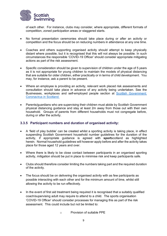

of each other. For instance, clubs may consider, where appropriate, different formats of competition, zoned participation areas or staggered starts.

- No formal presentation ceremonies should take place during or after an activity or competition and the focus should be on reducing numbers in attendance at any one time.
- Coaches and others supporting organised activity should attempt to keep physically distant where possible, but it is recognised that this will not always be possible. In such circumstances the responsible 'COVID-19 Officer' should consider appropriate mitigating actions as part of the risk assessment.
- Specific consideration should be given to supervision of children under the age of 5 years as it is not appropriate for young children to maintain the models of physical distancing that are suitable for older children, either practically or in terms of child development. You may, for instance, ask a parent to be present.
- Where an employee is providing an activity, relevant work placed risk assessments and consultation should take place in advance of any activity being undertaken. See the Businesses, workplaces and self-employed people section at [Scottish Government:](http://www.gov.scot/coronavirus-covid-19/)  [Coronavirus in Scotland.](http://www.gov.scot/coronavirus-covid-19/)
- Parents/guardians who are supervising their children must abide by Scottish Government physical distancing guidance and stay at least 2m away from those out with their own household. Groups of parents from different households must not congregate before, during or after the activity.

#### **3.3.5 Participant numbers and duration of organised activity:**

- A 'field of play bubble' can be created whilst a sporting activity is taking place, in effect suspending Scottish Government household number guidelines for the duration of the activity, if appropriate guidance is agreed with **sport**scotland as highlighted herein. Normal household guidelines will however apply before and after the activity takes place for those aged 12 years and over.
- Where there is likely to be close contact between participants in an organised sporting activity, mitigation should be put in place to minimise risk and keep participants safe.
- Clubs should therefore consider limiting the numbers taking part and the required duration of the activity.
- The focus should be on delivering the organised activity with as few participants as possible interacting with each other and for the minimum amount of time, whilst still allowing the activity to be run effectively.
- In the event of first aid treatment being required it is recognised that a suitably qualified coach/supervising adult may require to attend to a child. The sports organisation 'COVID-19 Officer' should consider processes for managing this as part of the risk assessment. This could include but not be limited to:

o Provision of suitable PPE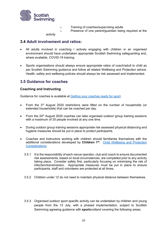

- o Training of coaches/supervising adults
- o Presence of one parent/guardian being required at the

activity

## **3.4 Adult involvement and ratios:**

- All adults involved in coaching / actively engaging with children in an organised environment should have undertaken appropriate Scottish Swimming safeguarding and, where available, COVID-19 training.
- Sports organisations should always ensure appropriate ratios of coach/adult to child as per Scottish Swimming guidance and follow all related Wellbeing and Protection advice. Health, safety and wellbeing policies should always be risk assessed and implemented.

## **3.5 Guidance for coaches**

#### **Coaching and Instructing**

Guidance for coaches is available at **Getting your coaches ready for sport**.

- From the 3<sup>rd</sup> August 2020 restrictions were lifted on the number of households (or extended households) that can be coached per day.
- From the 24<sup>th</sup> August 2020 coaches can take organised outdoor group training sessions with a maximum of 30 people involved at any one time.
- During outdoor group training sessions appropriate risk assessed physical distancing and hygiene measures should be put in place to protect participants.
- Coaches and instructors working with children should familiarise themselves with the additional considerations developed by **Children 1st**: [Child Wellbeing and Protection](http://www.sportscotland.org.uk/media/5774/cyp-return-to-sport-after-covid-19.pdf)  [Considerations.](http://www.sportscotland.org.uk/media/5774/cyp-return-to-sport-after-covid-19.pdf)
	- 3.5.1 It is the responsibility of each venue operator, club and coach to ensure documented risk assessments, based on local circumstances, are completed prior to any activity taking place. Consider safety first, particularly focusing on minimising the risk of infection/transmission. Appropriate measures must be put in place to ensure participants, staff and volunteers are protected at all times.
	- 3.5.2 Children under 12 do not need to maintain physical distance between themselves.
	- 3.5.3 Organised outdoor sport specific activity can be undertaken by children and young people from the 13 July, with a phased implementation, subject to Scottish Swimming agreeing guidance with **sport**scotland covering the following areas;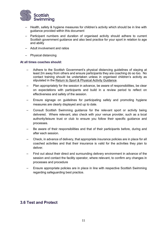

- Health, safety & hygiene measures for children's activity which should be in line with guidance provided within this document
- Participant numbers and duration of organised activity should adhere to current Scottish government guidance and also best practice for your sport in relation to age and ability
- Adult involvement and ratios
- Physical distancing

#### **At all times coaches should:**

- Adhere to the Scottish Government's physical distancing guidelines of staying at least 2m away from others and ensure participants they are coaching do so too. No contact training should be undertaken unless in organised children's activity as stipulated in the [Return to Sport & Physical Activity Guidance.](http://www.sportscotland.org.uk/covid-19/latest-outdoor-sport-and-physical-activity-guidance/)
- Plan appropriately for the session in advance, be aware of responsibilities, be clear on expectations with participants and build in a review period to reflect on effectiveness and safety of the session.
- Ensure signage on guidelines for participating safely and promoting hygiene measures are clearly displayed and up to date.
- Consult Scottish Swimming guidance for the relevant sport or activity being delivered. Where relevant, also check with your venue provider, such as a local authority/leisure trust or club to ensure you follow their specific guidance and processes.
- Be aware of their responsibilities and that of their participants before, during and after each session.
- Check, in advance of delivery, that appropriate insurance policies are in place for all coached activities and that their insurance is valid for the activities they plan to deliver.
- Find out about their direct and surrounding delivery environment in advance of the session and contact the facility operator, where relevant, to confirm any changes in processes and procedure
- Ensure appropriate policies are in place in line with respective Scottish Swimming regarding safeguarding best practice.

## **3.6 Test and Protect**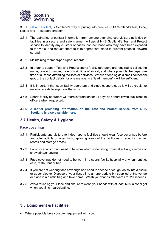

3.6.1 [Test and Protect,](https://www.nhsinform.scot/campaigns/test-and-protect) is Scotland's way of putting into practice NHS Scotland's test, trace, isolate and support strategy.

- 3.6.1 The gathering of contact information from anyone attending sport/leisure activities or facilities in a secure and safe manner, will assist NHS Scotland's Test and Protect service to identify any clusters of cases, contact those who may have been exposed to the virus, and request them to take appropriate steps to prevent potential onward spread.
- 3.6.2 Maintaining member/participant records
- 3.6.3 In order to support Test and Protect sports facility operators are required to collect the name, contact number, date of visit, time of arrival, and where possible the departure time of all those attending facilities or activities. Where attending as a small household group, the contact details for one member – a 'lead member' – will be sufficient.
- 3.6.4 It is important that sport facility operators and clubs cooperate, as it will be crucial to national efforts to suppress the virus.
- 3.6.5 Sports facility operators will store information for 21 days and share it with public health officers when requested.
- **3.6.6 A leaflet providing information on the Test and Protect service from NHS Scotland is also available [here.](http://www.gov.scot/publications/coronavirus-covid-19-test-and-protect-coronavirus-service/)**

#### **3.7 Health, Safety & Hygiene**

#### **Face coverings**

- 3.7.1 Participants and visitors to indoor sports facilities should wear face coverings before and after activity or when in non-playing areas of the facility (e.g. reception, locker rooms and storage areas).
- 3.7.2 Face coverings do not need to be worn when undertaking physical activity, exercise or showering/changing.
- 3.7.3 Face coverings do not need to be worn in a sports facility hospitality environment i.e. café, restaurant or bar.
- 3.7.4 If you are not wearing face coverings and need to sneeze or cough, do so into a tissue or upper sleeve. Dispose of your tissue into an appropriate bin supplied at the venue or place in a plastic bag and take home. Wash your hands afterwards for 20 seconds.
- 3.7.5 Avoid touching your face and ensure to clean your hands with at least 60% alcohol gel when you finish participating.

## **3.8 Equipment & Facilities**

• Where possible take your own equipment with you.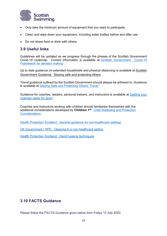

- Only take the minimum amount of equipment that you need to participate.
- Clean and wipe down your equipment, including water bottles before and after use.
- Do not share food or drink with others.

## **3.9 Useful links**

Guidelines will be updated as we progress through the phases of the Scottish Government Covid-19 routemap. Current information is available at [Scottish Government: Covid-19](https://www.gov.scot/publications/coronavirus-covid-19-framework-decision-making-scotlands-route-map-through-out-crisis-phase-3-update/)  [Framework for decision making](https://www.gov.scot/publications/coronavirus-covid-19-framework-decision-making-scotlands-route-map-through-out-crisis-phase-3-update/) .

Up to date guidance on extended households and physical distancing is available at [Scottish](http://www.gov.scot/publications/coronavirus-covid-19-phase-2-staying-safe-and-protecting-others/pages/meeting-others/)  [Government Guidance: Staying safe and protecting others](http://www.gov.scot/publications/coronavirus-covid-19-phase-2-staying-safe-and-protecting-others/pages/meeting-others/) .

Travel guidance outlined by the Scottish Government should always be adhered to. Guidance is available at [Staying Safe and Protecting Others: Travel](http://www.gov.scot/publications/coronavirus-covid-19-phase-2-staying-safe-and-protecting-others/pages/travel/)

Guidance for coaches, leaders, personal trainers, and instructors is available at [Getting your](http://www.sportscotland.org.uk/covid-19/getting-your-coaches-ready-for-sport/)  [coaches ready for sport](http://www.sportscotland.org.uk/covid-19/getting-your-coaches-ready-for-sport/) .

Coaches and instructors working with children should familiarise themselves with the additional considerations developed by **Children 1st**: [Child Wellbeing and Protection](http://www.sportscotland.org.uk/media/5774/cyp-return-to-sport-after-covid-19.pdf)  [Considerations](http://www.sportscotland.org.uk/media/5774/cyp-return-to-sport-after-covid-19.pdf) .

[Health Protection Scotland: General guidance for non-healthcare settings](http://www.hps.scot.nhs.uk/web-resources-container/covid-19-guidance-for-non-healthcare-settings/)

[UK Government / HPE: Cleaning in a non-healthcare setting](http://www.gov.uk/government/publications/covid-19-decontamination-in-non-healthcare-settings/covid-19-decontamination-in-non-healthcare-settings)

[Health Protection Scotland: Hand hygiene techniques](http://www.hps.scot.nhs.uk/a-to-z-of-topics/hand-hygiene/)

### **3.10 FACTS Guidance**

Please follow the FACTS Guidance given below from Friday 10 July 2020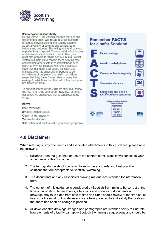

#### It's everyone's responsibility

During Phase 3, the various changes that are due to come into effect will result in larger numbers of people moving around and coming together across a variety of settings and sectors, both indoors and outdoors. This will give the virus more opportunities to spread. There is a risk of outbreaks and while we should strive to avoid them, we must also prepare for them and our Test & Protect system will help us to contain them. Staying safe and keeping others safe is as important as ever which is why, for example, we have made face coverings mandatory on public transport and in shops. And it is especially important to be considerate of people whose health conditions mean that they haven't been able to enjoy the easing of restrictions that the rest of the population has benefited from.

To prevent spread of the virus we should all follow the FACTS. It is the sum of our individual actions, our collective endeavour, that is suppressing the virus.

#### **FACTS:**

Face coverings. Avoid crowded places. Clean hands regularly. Two metre distance. Self isolate and book a test if you have symptoms.

## **Remember FACTS** for a safer Scotland **Face coverings Avoid crowded places** Clean your hands regularly **Two metre distance** Self isolate and book a test if you have symptoms nhainform acot/coronavirua #WeAreScotland **CORONAVIRUS STAY SAFE PROTECT**<br>OTHERS **NHS SAVE LIVES**

## **4.0 Disclaimer**

When referring to any documents and associated attachments in this guidance, please note the following:

- 1. Reliance upon the guidance or use of the content of this website will constitute your acceptance of this disclaimer.
- 2. The term guidance should be taken to imply the standards and best practice solutions that are acceptable to Scottish Swimming.
- 3. The documents and any associated drawing material are intended for information only.
- 4. The content of this guidance is considered by Scottish Swimming to be correct at the time of publication. Amendments, alterations and updates of documents and drawings may take place from time to time and clubs should review at the time of use to ensure the most up to-date versions are being referred to and satisfy themselves that there has been no change in position.
- 5. All downloadable drawings, images and photographs are intended solely to illustrate how elements of a facility can apply Scottish Swimming's suggestions and should be